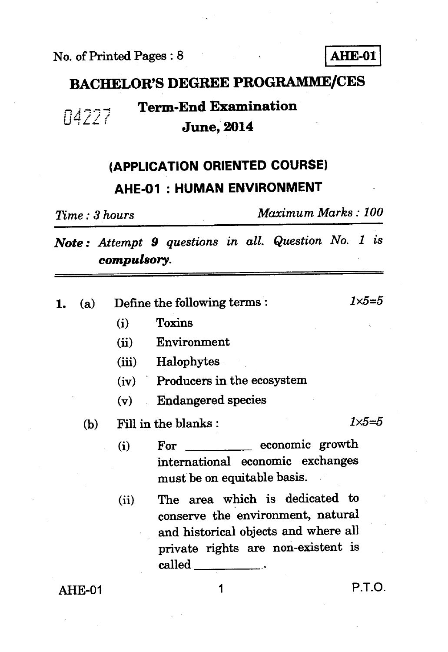

#### **BACHELOR'S DEGREE PROGRAMME/CES**

### **14227 Term-End Examination June, 2014**

## **(APPLICATION ORIENTED COURSE) AHE-01 : HUMAN ENVIRONMENT**

*Time : 3 hours Maximum Marks : 100* 

*Note : Attempt 9 questions in all. Question No. 1 is compulsory.* 

| 1. | (a)     | Define the following terms:        |                                                                                                                                                                                         | $1x5 = 5$        |
|----|---------|------------------------------------|-----------------------------------------------------------------------------------------------------------------------------------------------------------------------------------------|------------------|
|    |         | (i)                                | <b>Toxins</b>                                                                                                                                                                           |                  |
|    |         | (ii)                               | Environment                                                                                                                                                                             |                  |
|    |         |                                    | (iii) Halophytes                                                                                                                                                                        |                  |
|    |         |                                    | (iv) Producers in the ecosystem                                                                                                                                                         |                  |
|    |         | (v)<br>$\mathcal{L}^{\mathcal{L}}$ | <b>Endangered species</b>                                                                                                                                                               |                  |
|    | (b)     |                                    | Fill in the blanks:                                                                                                                                                                     | $1 \times 5 = 5$ |
|    |         | (i)                                | economic growth<br>For<br>international economic exchanges<br>must be on equitable basis.                                                                                               |                  |
|    |         | (ii)                               | The area which is dedicated to<br>conserve the environment, natural<br>and historical objects and where all<br>private rights are non-existent is<br>$\mathrm{called}\,\_\_\_\_\_\_\$ . |                  |
|    | AH E-01 |                                    |                                                                                                                                                                                         | P.T.O.           |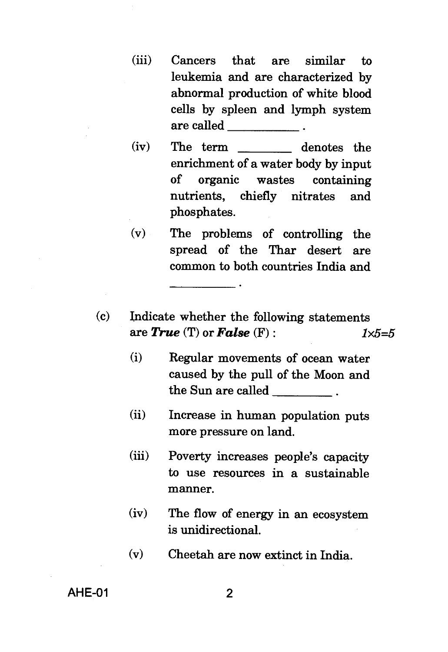- (iii) Cancers that are similar to leukemia and are characterized by abnormal production of white blood cells by spleen and lymph system are called
- (iv) The term denotes the enrichment of a water body by input of organic wastes containing nutrients, chiefly nitrates and phosphates.
- (v) The problems of controlling the spread of the Thar desert are common to both countries India and
- (c) Indicate whether the following statements are  $True$  (T) or  $False$  (F) :  $1 \times 5 = 5$ 
	- (i) Regular movements of ocean water caused by the pull of the Moon and the Sun are called
	- (ii) Increase in human population puts more pressure on land.
	- (iii) Poverty increases people's capacity to use resources in a sustainable manner.
	- (iv) The flow of energy in an ecosystem is unidirectional.
	- (v) Cheetah are now extinct in India.

AHE-01 2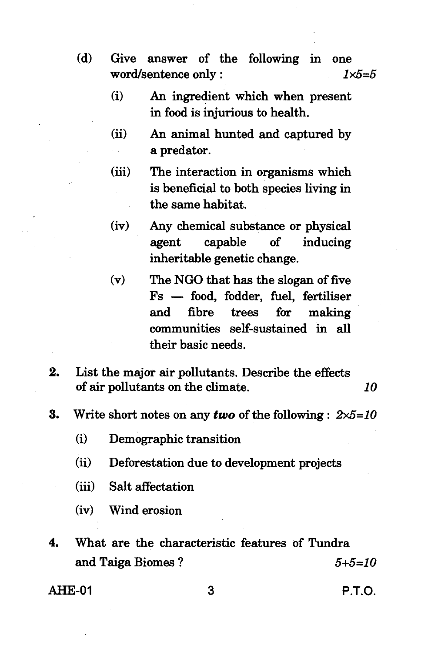- **(d) Give answer of the following in one word/sentence only :** *1x5=5* 
	- **(i) An ingredient which when present in food is injurious to health.**
	- **(ii) An animal hunted and captured by a predator.**
	- **(iii) The interaction in organisms which is beneficial to both species living in the same habitat.**
	- **(iv) Any chemical substance or physical agent capable of inducing inheritable genetic change.**
	- **(v) The NGO that has the slogan of five Fs — food, fodder, fuel, fertiliser and fibre trees for making communities self-sustained in all their basic needs.**
- **2. List the major air pollutants. Describe the effects of air pollutants on the climate.** *10*
- **3. Write short notes on any** *two* **of the following :** *2x5=10* 
	- **(i) Demographic transition**
	- **(ii) Deforestation due to development projects**
	- **(iii) Salt affectation**
	- **(iv) Wind erosion**
- **4. What are the characteristic features of Tundra and Taiga Biomes ?** *5+5=10*

**AHE-01 3 P.T.O.**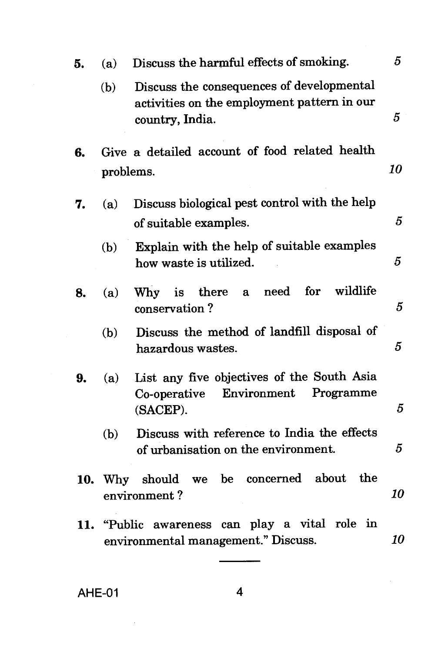| 5.  | (a) | Discuss the harmful effects of smoking.                                                                     |    |  |  |  |  |  |
|-----|-----|-------------------------------------------------------------------------------------------------------------|----|--|--|--|--|--|
|     | (b) | Discuss the consequences of developmental<br>activities on the employment pattern in our<br>country, India. | 5  |  |  |  |  |  |
| 6.  |     | Give a detailed account of food related health                                                              | 10 |  |  |  |  |  |
|     |     | problems.                                                                                                   |    |  |  |  |  |  |
| 7.  | (a) | Discuss biological pest control with the help<br>of suitable examples.                                      | 5  |  |  |  |  |  |
|     | (b) | Explain with the help of suitable examples<br>how waste is utilized.                                        |    |  |  |  |  |  |
| 8.  | (a) | wildlife<br>for<br>$\bold{need}$<br>is there<br><b>Why</b><br>$\mathbf{a}$<br>conservation?                 | 5  |  |  |  |  |  |
|     | (b) | Discuss the method of landfill disposal of<br>hazardous wastes.                                             |    |  |  |  |  |  |
| 9.  | (a) | List any five objectives of the South Asia<br>Environment<br>Programme<br>Co-operative<br>(SACEP).          | 5  |  |  |  |  |  |
|     | (b) | Discuss with reference to India the effects<br>of urbanisation on the environment.                          | 5  |  |  |  |  |  |
|     |     | concerned about<br>the<br>be<br>10. Why should<br>we<br>environment?                                        | 10 |  |  |  |  |  |
| 11. |     | "Public awareness can play a vital role in<br>environmental management." Discuss.                           | 10 |  |  |  |  |  |

AHE-01 **4**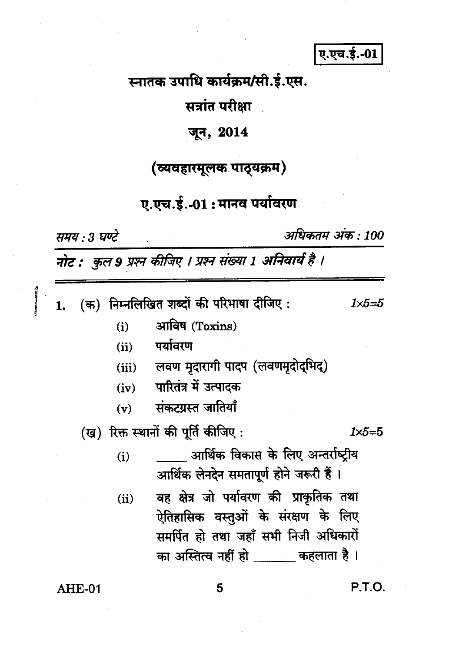ए.एच.ई.-01

स्नातक उपाधि कार्यक्रम/सी.ई.एस.

सत्रांत परीक्षा

### जून, 2014

### (व्यवहारमूलक पाठ्यक्रम)

# ए.एच.ई.-01: मानव पर्यावरण

समय: 3 घण्टे

अधिकतम अंक : 100

नोट : कुल 9 प्रश्न कीजिए । प्रश्न संख्या 1 अनिवार्य है ।

|                                     |        |      | (क) निम्नलिखित शब्दों की परिभाषा दीजिए :                                                                                                                         | 1×5=5 |  |  |
|-------------------------------------|--------|------|------------------------------------------------------------------------------------------------------------------------------------------------------------------|-------|--|--|
|                                     |        | (i)  | आविष (Toxins)                                                                                                                                                    |       |  |  |
|                                     |        | (ii) | पर्यावरण                                                                                                                                                         |       |  |  |
|                                     |        |      | (iii) लवण मृदारागी पादप (लवणमृदोद्भिद्)                                                                                                                          |       |  |  |
|                                     |        | (iv) | पारितंत्र में उत्पादक                                                                                                                                            |       |  |  |
|                                     |        | (v)  | संकटग्रस्त जातियाँ                                                                                                                                               |       |  |  |
| (ख) रिक्त स्थानों की पूर्ति कीजिए : |        |      |                                                                                                                                                                  |       |  |  |
|                                     |        | (i)  | आर्थिक विकास के लिए अन्तर्राष्टीय<br>आर्थिक लेनदेन समतापूर्ण होने जरूरी हैं ।                                                                                    |       |  |  |
|                                     |        | (ii) | वह क्षेत्र जो पर्यावरण की प्राकृतिक तथा<br>ऐतिहासिक वस्तुओं के संरक्षण के लिए<br>समर्पित हो तथा जहाँ सभी निजी अधिकारों<br>का अस्तित्व नहीं हो ______ कहलाता है । |       |  |  |
|                                     | AHE-01 |      |                                                                                                                                                                  | P.T.O |  |  |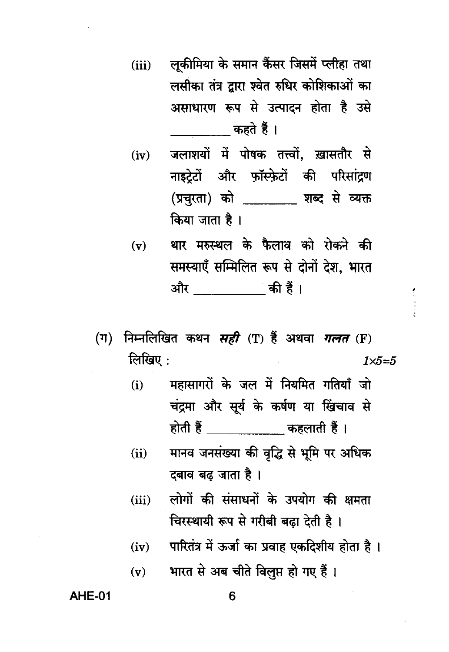- लूकीमिया के समान कैंसर जिसमें प्लीहा तथा  $(iii)$ लसीका तंत्र द्वारा श्वेत रुधिर कोशिकाओं का असाधारण रूप से उत्पादन होता है उसे कहते हैं ।
- जलाशयों में पोषक तत्त्वों. ख़ासतौर से  $(iv)$ नाइटेटों और फॉस्फेटों की परिसांद्रण (प्रचरता) को प्राब्द से व्यक्त किया जाता है।
- थार मरुस्थल के फैलाव को रोकने की  $(v)$ समस्याएँ सम्मिलित रूप से दोनों देश. भारत
- (ग) निम्नलिखित कथन सही (T) हैं अथवा गलत (F) लिखिए $:$  $1 \times 5 = 5$ 
	- महासागरों के जल में नियमित गतियाँ जो  $(i)$ चंद्रमा और सूर्य के कर्षण या खिंचाव से होती हैं \_\_\_\_\_\_\_\_\_\_\_\_\_ कहलाती हैं ।
	- मानव जनसंख्या की वृद्धि से भूमि पर अधिक  $(ii)$ दबाव बढ जाता है ।
	- लोगों की संसाधनों के उपयोग की क्षमता  $(iii)$ चिरस्थायी रूप से गरीबी बढ़ा देती है।
	- पारितंत्र में ऊर्जा का प्रवाह एकदिशीय होता है।  $(iv)$
	- भारत से अब चीते विलुप्त हो गए हैं।  $(v)$

**AHE-01**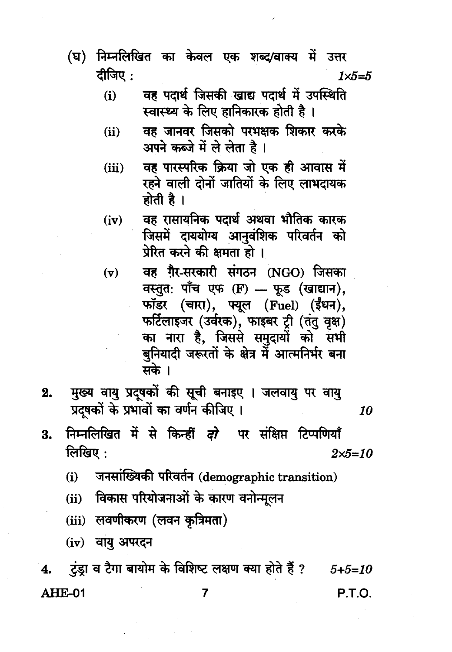- निम्नलिखित का केवल एक शब्द/वाक्य में उत्तर (घ) दीजिए:  $1 \times 5 = 5$ 
	- वह पदार्थ जिसकी खाद्य पदार्थ में उपस्थिति  $(i)$ स्वास्थ्य के लिए हानिकारक होती है।
	- वह जानवर जिसको परभक्षक शिकार करके  $(ii)$ अपने कब्जे में ले लेता है।
	- वह पारस्परिक क्रिया जो एक ही आवास में  $(iii)$ रहने वाली दोनों जातियों के लिए लाभदायक होती है।
	- वह रासायनिक पदार्थ अथवा भौतिक कारक  $(iv)$ जिसमें दाययोग्य आनवंशिक परिवर्तन को प्रेरित करने की क्षमता हो ।
	- वह गैर-सरकारी संगठन (NGO) जिसका  $(v)$ वस्तूत: पाँच एफ (F) - फूड (खाद्यान), फॉडर (चारा), फ्यूल (Fuel) (ईंधन), फर्टिलाइजर (उर्वरक), फाइबर ट्री (तंतु वृक्ष) का नारा है, जिससे समुदायों को सभी बुनियादी जरूरतों के क्षेत्र में आत्मनिर्भर बना मके ।

10

- मुख्य वायु प्रदूषकों की सूची बनाइए । जलवायु पर वायु  $2.$ प्रदषकों के प्रभावों का वर्णन कीजिए ।
- निम्नलिखित में से किन्हीं *दो* पर संक्षिप्त टिप्पणियाँ 3. लिखिए $:$  $2 \times 5 = 10$ 
	- जनसांख्यिकी परिवर्तन (demographic transition)  $(i)$
	- विकास परियोजनाओं के कारण वनोन्मूलन  $(ii)$
	- (iii) लवणीकरण (लवन कृत्रिमता)
	- (iv) वायु अपरदन

टंड़ा व टैगा बायोम के विशिष्ट लक्षण क्या होते हैं ? 4.  $5 + 5 = 10$ AHE-01 P.T.O. 7